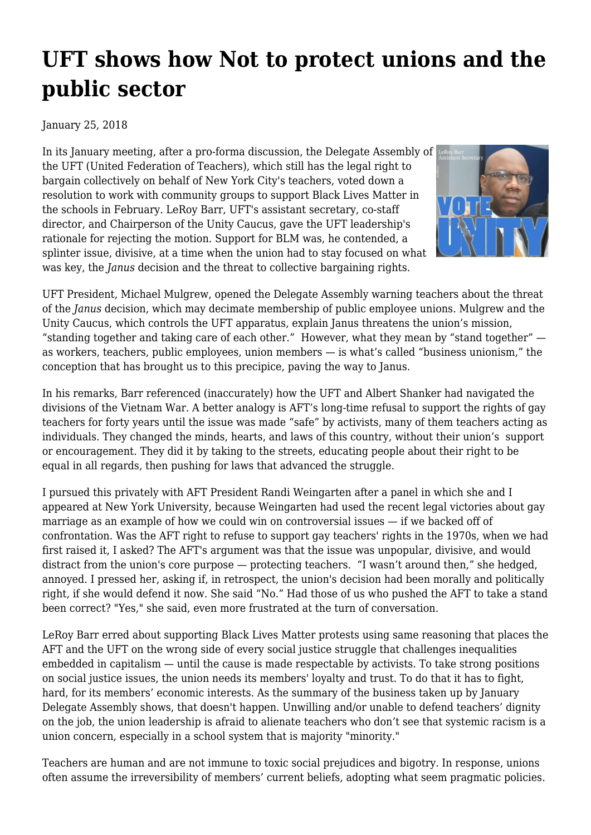## **[UFT shows how Not to protect unions and the](https://newpol.org/uft-shows-how-not-protect-unions-and-public-sector/) [public sector](https://newpol.org/uft-shows-how-not-protect-unions-and-public-sector/)**

## January 25, 2018

In its [January meeting, after a pro-forma discussion](http://nyceducator.com/2018/01/uft-delegate-assembly-january-17-2018.html?m=1), the Delegate Assembly of the UFT (United Federation of Teachers), which still has the legal right to bargain collectively on behalf of New York City's teachers, voted down a resolution to work with community groups to support [Black Lives Matter in](https://www.facebook.com/BLMEdu/) [the schools](https://www.facebook.com/BLMEdu/) in February. [LeRoy Barr, UFT's assistant secretary,](http://www.uft.org/who-we-are/assistant-secretary) co-staff director, and Chairperson of the Unity Caucus, gave the UFT leadership's rationale for rejecting the motion. Support for BLM was, he contended, a splinter issue, divisive, at a time when the union had to stay focused on what was key, the *Janus* decision and the threat to collective bargaining rights.



UFT President, Michael Mulgrew, opened the Delegate Assembly warning teachers about the threat of the *Janus* decision, which may decimate membership of public employee unions. Mulgrew and the Unity Caucus, which controls the UFT apparatus, explain Janus threatens the union's mission, ["standing together and taking care of each other."](https://unitycaucus.wordpress.com/) However, what they mean by "stand together" as workers, teachers, public employees, union members — is what's called "business unionism," [the](http://inthesetimes.com/working/entry/20677/janus-right-to-work-union-labor) [conception that has brought us to this precipice,](http://inthesetimes.com/working/entry/20677/janus-right-to-work-union-labor) paving the way to Janus.

In his remarks, Barr referenced (inaccurately) how the UFT and Albert Shanker had navigated the divisions of the Vietnam War. A better analogy is AFT's long-time refusal to support the rights of gay teachers for forty years until the issue was made "safe" by activists, many of them teachers acting as individuals. They changed the minds, hearts, and laws of this country, without their union's support or encouragement. They did it by taking to the streets, educating people about their right to be equal in all regards, then pushing for laws that advanced the struggle.

I pursued this privately with AFT President Randi Weingarten [after a panel in which she and I](https://wp.nyu.edu/politicsofprivatization/2016/08/22/lois-weiner-a-may-day-message-for-teachers/) [appeared at New York University](https://wp.nyu.edu/politicsofprivatization/2016/08/22/lois-weiner-a-may-day-message-for-teachers/), because Weingarten had used the recent legal victories about gay marriage as an example of how we could win on controversial issues — if we backed off of confrontation. Was the AFT right to refuse to support gay teachers' rights in the 1970s, when we had first raised it, I asked? The AFT's argument was that the issue was unpopular, divisive, and would distract from the union's core purpose — protecting teachers. "I wasn't around then," she hedged, annoyed. I pressed her, asking if, in retrospect, the union's decision had been morally and politically right, if she would defend it now. She said "No." Had those of us who pushed the AFT to take a stand been correct? "Yes," she said, even more frustrated at the turn of conversation.

LeRoy Barr erred about supporting Black Lives Matter protests using same reasoning that places the AFT and the UFT on the wrong side of every social justice struggle that challenges inequalities embedded in capitalism — until the cause is made respectable by activists. To take strong positions on social justice issues, the union needs its members' loyalty and trust. To do that it has to fight, hard, for its members' economic interests. As the summary of the business taken up by January Delegate Assembly shows, that doesn't happen. Unwilling and/or unable to defend teachers' dignity on the job, the union leadership is afraid to alienate teachers who don't see that systemic racism is a union concern, especially in a school system that is majority "minority."

Teachers are human and are not immune to toxic social prejudices and bigotry. In response, unions often assume the irreversibility of members' current beliefs, adopting what seem pragmatic policies.